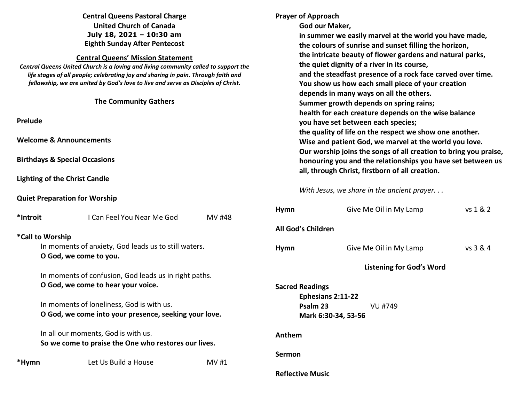| <b>Central Queens Pastoral Charge</b>                                                                                                                                                                                                                                                                                                     |                                                                                |                        | <b>Prayer of Approach</b>                                                                                                                                                                                                                                                                                                                                                   |          |  |
|-------------------------------------------------------------------------------------------------------------------------------------------------------------------------------------------------------------------------------------------------------------------------------------------------------------------------------------------|--------------------------------------------------------------------------------|------------------------|-----------------------------------------------------------------------------------------------------------------------------------------------------------------------------------------------------------------------------------------------------------------------------------------------------------------------------------------------------------------------------|----------|--|
| <b>United Church of Canada</b><br>July 18, 2021 - 10:30 am<br><b>Eighth Sunday After Pentecost</b>                                                                                                                                                                                                                                        |                                                                                |                        | God our Maker,                                                                                                                                                                                                                                                                                                                                                              |          |  |
|                                                                                                                                                                                                                                                                                                                                           |                                                                                |                        | in summer we easily marvel at the world you have made,                                                                                                                                                                                                                                                                                                                      |          |  |
| <b>Central Queens' Mission Statement</b><br>Central Queens United Church is a loving and living community called to support the<br>life stages of all people; celebrating joy and sharing in pain. Through faith and<br>fellowship, we are united by God's love to live and serve as Disciples of Christ.<br><b>The Community Gathers</b> |                                                                                |                        | the colours of sunrise and sunset filling the horizon,<br>the intricate beauty of flower gardens and natural parks,<br>the quiet dignity of a river in its course,<br>and the steadfast presence of a rock face carved over time.<br>You show us how each small piece of your creation<br>depends in many ways on all the others.<br>Summer growth depends on spring rains; |          |  |
|                                                                                                                                                                                                                                                                                                                                           |                                                                                |                        | health for each creature depends on the wise balance                                                                                                                                                                                                                                                                                                                        |          |  |
| Prelude                                                                                                                                                                                                                                                                                                                                   |                                                                                |                        | you have set between each species;<br>the quality of life on the respect we show one another.<br>Wise and patient God, we marvel at the world you love.<br>Our worship joins the songs of all creation to bring you praise,                                                                                                                                                 |          |  |
| <b>Welcome &amp; Announcements</b>                                                                                                                                                                                                                                                                                                        |                                                                                |                        |                                                                                                                                                                                                                                                                                                                                                                             |          |  |
|                                                                                                                                                                                                                                                                                                                                           | <b>Birthdays &amp; Special Occasions</b>                                       |                        | honouring you and the relationships you have set between us<br>all, through Christ, firstborn of all creation.                                                                                                                                                                                                                                                              |          |  |
|                                                                                                                                                                                                                                                                                                                                           | <b>Lighting of the Christ Candle</b>                                           |                        |                                                                                                                                                                                                                                                                                                                                                                             |          |  |
|                                                                                                                                                                                                                                                                                                                                           | <b>Quiet Preparation for Worship</b>                                           |                        | With Jesus, we share in the ancient prayer                                                                                                                                                                                                                                                                                                                                  |          |  |
| *Introit                                                                                                                                                                                                                                                                                                                                  | I Can Feel You Near Me God                                                     | <b>Hymn</b><br>MV #48  | Give Me Oil in My Lamp                                                                                                                                                                                                                                                                                                                                                      | vs 1 & 2 |  |
|                                                                                                                                                                                                                                                                                                                                           |                                                                                |                        | <b>All God's Children</b>                                                                                                                                                                                                                                                                                                                                                   |          |  |
| *Call to Worship                                                                                                                                                                                                                                                                                                                          |                                                                                |                        |                                                                                                                                                                                                                                                                                                                                                                             |          |  |
|                                                                                                                                                                                                                                                                                                                                           | In moments of anxiety, God leads us to still waters.<br>O God, we come to you. | Hymn                   | Give Me Oil in My Lamp                                                                                                                                                                                                                                                                                                                                                      | vs 3 & 4 |  |
|                                                                                                                                                                                                                                                                                                                                           |                                                                                |                        | <b>Listening for God's Word</b>                                                                                                                                                                                                                                                                                                                                             |          |  |
|                                                                                                                                                                                                                                                                                                                                           | In moments of confusion, God leads us in right paths.                          |                        |                                                                                                                                                                                                                                                                                                                                                                             |          |  |
|                                                                                                                                                                                                                                                                                                                                           | O God, we come to hear your voice.                                             |                        | <b>Sacred Readings</b>                                                                                                                                                                                                                                                                                                                                                      |          |  |
|                                                                                                                                                                                                                                                                                                                                           | In moments of loneliness, God is with us.                                      |                        | Ephesians 2:11-22<br>Psalm 23<br>VU #749                                                                                                                                                                                                                                                                                                                                    |          |  |
| O God, we come into your presence, seeking your love.<br>In all our moments, God is with us.<br>So we come to praise the One who restores our lives.                                                                                                                                                                                      |                                                                                |                        | Mark 6:30-34, 53-56                                                                                                                                                                                                                                                                                                                                                         |          |  |
|                                                                                                                                                                                                                                                                                                                                           |                                                                                | Anthem                 |                                                                                                                                                                                                                                                                                                                                                                             |          |  |
|                                                                                                                                                                                                                                                                                                                                           |                                                                                |                        |                                                                                                                                                                                                                                                                                                                                                                             |          |  |
| *Hymn                                                                                                                                                                                                                                                                                                                                     | Let Us Build a House                                                           | <b>Sermon</b><br>MV #1 |                                                                                                                                                                                                                                                                                                                                                                             |          |  |

**Reflective Music**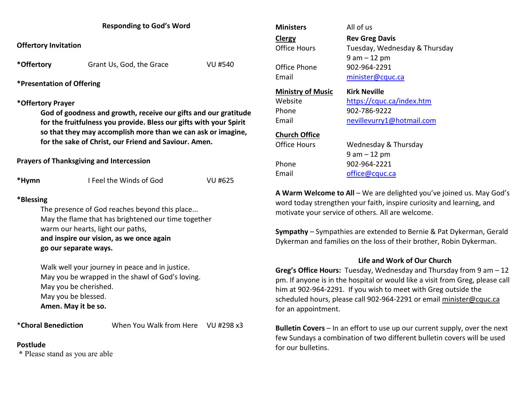| <b>Responding to God's Word</b>                                                                                                                                                                                                                                                                                                                                                                           |                                                                                                                                                                                                                                                                |         |  |  |  |  |
|-----------------------------------------------------------------------------------------------------------------------------------------------------------------------------------------------------------------------------------------------------------------------------------------------------------------------------------------------------------------------------------------------------------|----------------------------------------------------------------------------------------------------------------------------------------------------------------------------------------------------------------------------------------------------------------|---------|--|--|--|--|
| <b>Offertory Invitation</b>                                                                                                                                                                                                                                                                                                                                                                               |                                                                                                                                                                                                                                                                |         |  |  |  |  |
| *Offertory                                                                                                                                                                                                                                                                                                                                                                                                | Grant Us, God, the Grace                                                                                                                                                                                                                                       | VU #540 |  |  |  |  |
| <b>*Presentation of Offering</b>                                                                                                                                                                                                                                                                                                                                                                          |                                                                                                                                                                                                                                                                |         |  |  |  |  |
| *Offertory Prayer                                                                                                                                                                                                                                                                                                                                                                                         | God of goodness and growth, receive our gifts and our gratitude<br>for the fruitfulness you provide. Bless our gifts with your Spirit<br>so that they may accomplish more than we can ask or imagine,<br>for the sake of Christ, our Friend and Saviour. Amen. |         |  |  |  |  |
| <b>Prayers of Thanksgiving and Intercession</b>                                                                                                                                                                                                                                                                                                                                                           |                                                                                                                                                                                                                                                                |         |  |  |  |  |
| *Hymn                                                                                                                                                                                                                                                                                                                                                                                                     | I Feel the Winds of God                                                                                                                                                                                                                                        | VU #625 |  |  |  |  |
| *Blessing<br>The presence of God reaches beyond this place<br>May the flame that has brightened our time together<br>warm our hearts, light our paths,<br>and inspire our vision, as we once again<br>go our separate ways.<br>Walk well your journey in peace and in justice.<br>May you be wrapped in the shawl of God's loving.<br>May you be cherished.<br>May you be blessed.<br>Amen. May it be so. |                                                                                                                                                                                                                                                                |         |  |  |  |  |
| *Choral Benediction                                                                                                                                                                                                                                                                                                                                                                                       | When You Walk from Here VU #298 x3                                                                                                                                                                                                                             |         |  |  |  |  |

## **Ministers All of us ClergyClergy** Rev Greg Davis<br> **Charge Hours** Tuesdav, Wedne Tuesday, Wednesday & Thursday 9 am – 12 pm Office Phone 902-964-2291 Email minister@cquc.ca**Ministry of Music Kirk Neville**Website https://cquc.ca/index.htm Phone 902-786-9222 Email nevillevurry1@hotmail.com**Church Office**Office Hours Wednesday & Thursday 9 am – 12 pm Phone 902-964-2221 Email office@cquc.ca

**A Warm Welcome to All** – We are delighted you've joined us. May God's word today strengthen your faith, inspire curiosity and learning, and motivate your service of others. All are welcome.

**Sympathy** – Sympathies are extended to Bernie & Pat Dykerman, Gerald Dykerman and families on the loss of their brother, Robin Dykerman.

## **Life and Work of Our Church**

 **Greg's Office Hours:** Tuesday, Wednesday and Thursday from 9 am – 12 pm. If anyone is in the hospital or would like a visit from Greg, please call him at 902-964-2291. If you wish to meet with Greg outside the scheduled hours, please call 902-964-2291 or email minister@cquc.ca for an appointment.

**Bulletin Covers** – In an effort to use up our current supply, over the next few Sundays a combination of two different bulletin covers will be used for our bulletins.

# **Postlude**

 **\*** Please stand as you are able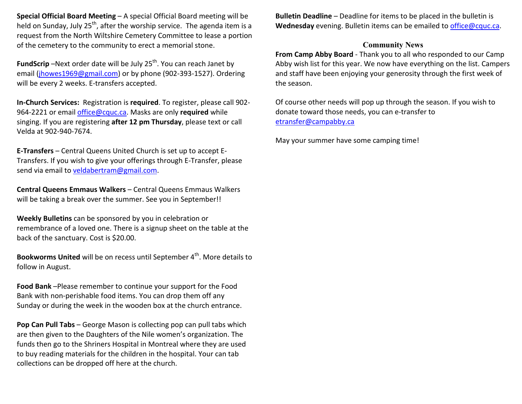**Special Official Board Meeting** – A special Official Board meeting will be held on Sunday, July 25<sup>th</sup>, after the worship service. The agenda item is a request from the North Wiltshire Cemetery Committee to lease a portion of the cemetery to the community to erect a memorial stone.

**FundScrip** –Next order date will be July 25<sup>th</sup>. You can reach Janet by email (*jhowes1969@gmail.com*) or by phone (902-393-1527). Ordering will be every 2 weeks. E-transfers accepted.

**In-Church Services:** Registration is **required**. To register, please call 902-964-2221 or email office@cquc.ca. Masks are only **required** while singing. If you are registering **after 12 pm Thursday**, please text or call Velda at 902-940-7674.

**E-Transfers** – Central Queens United Church is set up to accept E-Transfers. If you wish to give your offerings through E-Transfer, please send via email to veldabertram@gmail.com.

**Central Queens Emmaus Walkers** – Central Queens Emmaus Walkers will be taking a break over the summer. See you in September!!

**Weekly Bulletins** can be sponsored by you in celebration or remembrance of a loved one. There is a signup sheet on the table at the back of the sanctuary. Cost is \$20.00.

**Bookworms United** will be on recess until September 4<sup>th</sup>. More details to follow in August.

**Food Bank** –Please remember to continue your support for the Food Bank with non-perishable food items. You can drop them off any Sunday or during the week in the wooden box at the church entrance.

**Pop Can Pull Tabs** – George Mason is collecting pop can pull tabs which are then given to the Daughters of the Nile women's organization. The funds then go to the Shriners Hospital in Montreal where they are used to buy reading materials for the children in the hospital. Your can tab collections can be dropped off here at the church.

**Bulletin Deadline** – Deadline for items to be placed in the bulletin is **Wednesday** evening. Bulletin items can be emailed to office@cquc.ca.

### **Community News**

 **From Camp Abby Board** - Thank you to all who responded to our Camp Abby wish list for this year. We now have everything on the list. Campers and staff have been enjoying your generosity through the first week of the season.

Of course other needs will pop up through the season. If you wish to donate toward those needs, you can e-transfer to etransfer@campabby.ca

May your summer have some camping time!